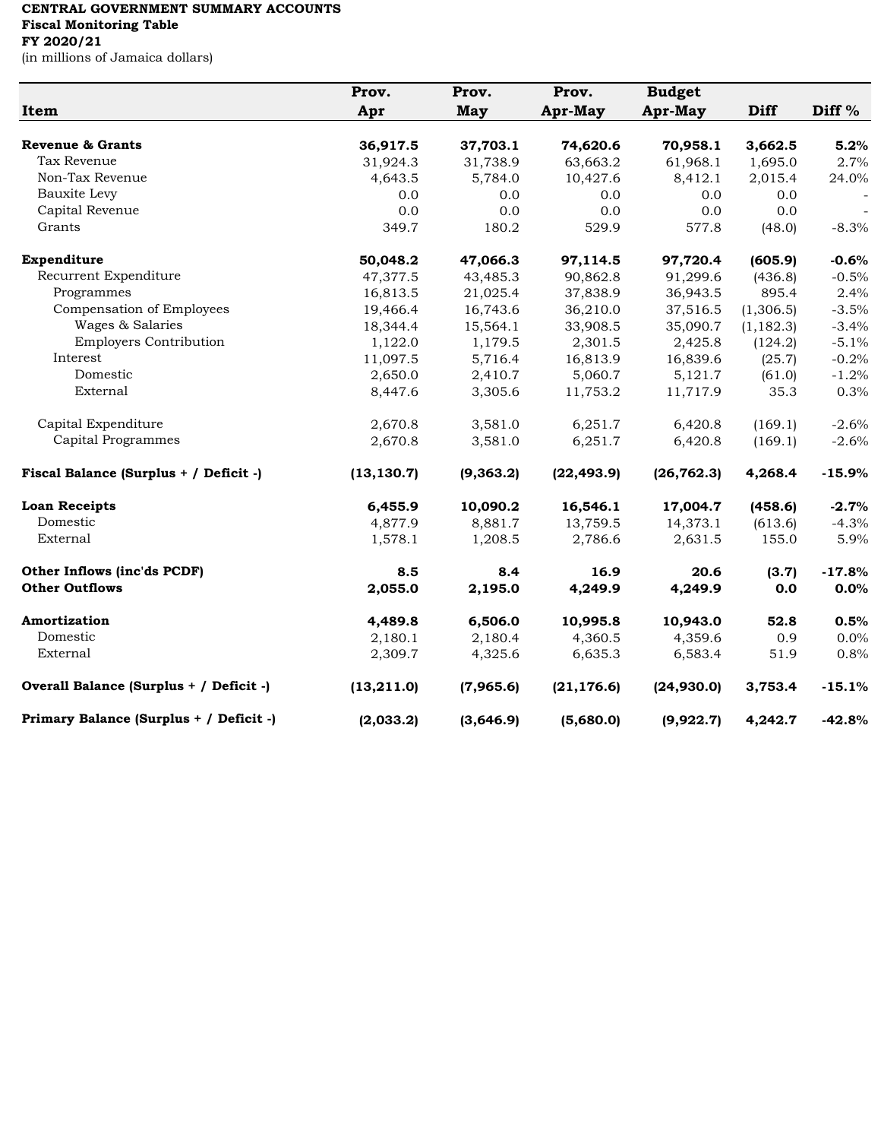## **CENTRAL GOVERNMENT SUMMARY ACCOUNTS Fiscal Monitoring Table**

## **FY 2020/21**

(in millions of Jamaica dollars)

|                                         | Prov.       | Prov.     | Prov.       | <b>Budget</b> |             |                   |
|-----------------------------------------|-------------|-----------|-------------|---------------|-------------|-------------------|
| Item                                    | Apr         | May       | Apr-May     | Apr-May       | <b>Diff</b> | Diff <sup>%</sup> |
|                                         |             |           |             |               |             |                   |
| Revenue & Grants                        | 36,917.5    | 37,703.1  | 74,620.6    | 70,958.1      | 3,662.5     | 5.2%              |
| Tax Revenue                             | 31,924.3    | 31,738.9  | 63,663.2    | 61,968.1      | 1,695.0     | 2.7%              |
| Non-Tax Revenue                         | 4,643.5     | 5,784.0   | 10,427.6    | 8,412.1       | 2,015.4     | 24.0%             |
| Bauxite Levy                            | 0.0         | 0.0       | 0.0         | 0.0           | 0.0         |                   |
| Capital Revenue                         | 0.0         | 0.0       | 0.0         | 0.0           | 0.0         |                   |
| Grants                                  | 349.7       | 180.2     | 529.9       | 577.8         | (48.0)      | $-8.3%$           |
| Expenditure                             | 50,048.2    | 47,066.3  | 97,114.5    | 97,720.4      | (605.9)     | $-0.6%$           |
| Recurrent Expenditure                   | 47,377.5    | 43,485.3  | 90,862.8    | 91,299.6      | (436.8)     | $-0.5%$           |
| Programmes                              | 16,813.5    | 21,025.4  | 37,838.9    | 36,943.5      | 895.4       | 2.4%              |
| Compensation of Employees               | 19,466.4    | 16,743.6  | 36,210.0    | 37,516.5      | (1,306.5)   | $-3.5%$           |
| Wages & Salaries                        | 18,344.4    | 15,564.1  | 33,908.5    | 35,090.7      | (1, 182.3)  | $-3.4%$           |
| <b>Employers Contribution</b>           | 1,122.0     | 1,179.5   | 2,301.5     | 2,425.8       | (124.2)     | $-5.1%$           |
| Interest                                | 11,097.5    | 5,716.4   | 16,813.9    | 16,839.6      | (25.7)      | $-0.2%$           |
| Domestic                                | 2,650.0     | 2,410.7   | 5,060.7     | 5,121.7       | (61.0)      | $-1.2%$           |
| External                                | 8,447.6     | 3,305.6   | 11,753.2    | 11,717.9      | 35.3        | 0.3%              |
| Capital Expenditure                     | 2,670.8     | 3,581.0   | 6,251.7     | 6,420.8       | (169.1)     | $-2.6%$           |
| Capital Programmes                      | 2,670.8     | 3,581.0   | 6,251.7     | 6,420.8       | (169.1)     | $-2.6%$           |
| Fiscal Balance (Surplus + / Deficit -)  | (13, 130.7) | (9,363.2) | (22, 493.9) | (26, 762.3)   | 4,268.4     | $-15.9%$          |
| <b>Loan Receipts</b>                    | 6,455.9     | 10,090.2  | 16,546.1    | 17,004.7      | (458.6)     | $-2.7%$           |
| Domestic                                | 4,877.9     | 8,881.7   | 13,759.5    | 14,373.1      | (613.6)     | $-4.3%$           |
| External                                | 1,578.1     | 1,208.5   | 2,786.6     | 2,631.5       | 155.0       | 5.9%              |
| Other Inflows (inc'ds PCDF)             | 8.5         | 8.4       | 16.9        | 20.6          | (3.7)       | $-17.8%$          |
| <b>Other Outflows</b>                   | 2,055.0     | 2,195.0   | 4,249.9     | 4,249.9       | 0.0         | $0.0\%$           |
| Amortization                            | 4,489.8     | 6,506.0   | 10,995.8    | 10,943.0      | 52.8        | 0.5%              |
| Domestic                                | 2,180.1     | 2,180.4   | 4,360.5     | 4,359.6       | 0.9         | 0.0%              |
| External                                | 2,309.7     | 4,325.6   | 6,635.3     | 6,583.4       | 51.9        | 0.8%              |
| Overall Balance (Surplus + / Deficit -) | (13, 211.0) | (7,965.6) | (21, 176.6) | (24,930.0)    | 3,753.4     | $-15.1%$          |
| Primary Balance (Surplus + / Deficit -) | (2,033.2)   | (3,646.9) | (5,680.0)   | (9,922.7)     | 4,242.7     | $-42.8%$          |